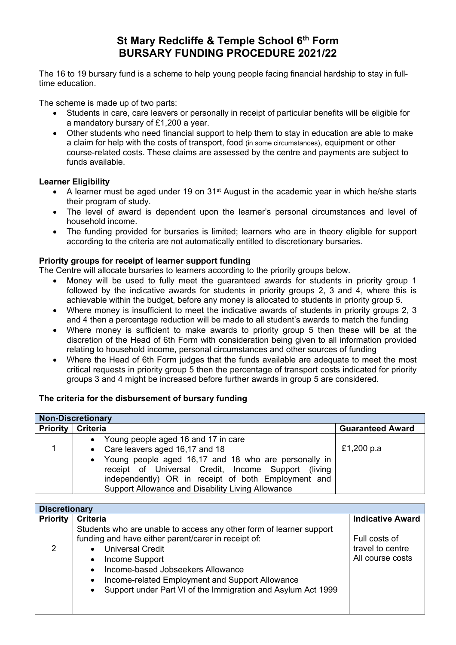# **St Mary Redcliffe & Temple School 6th Form BURSARY FUNDING PROCEDURE 2021/22**

The 16 to 19 bursary fund is a scheme to help young people facing financial hardship to stay in fulltime education.

The scheme is made up of two parts:

- Students in care, care leavers or personally in receipt of particular benefits will be eligible for a mandatory bursary of £1,200 a year.
- Other students who need financial support to help them to stay in education are able to make a claim for help with the costs of transport, food (in some circumstances), equipment or other course-related costs. These claims are assessed by the centre and payments are subject to funds available.

### **Learner Eligibility**

- A learner must be aged under 19 on 31<sup>st</sup> August in the academic year in which he/she starts their program of study.
- The level of award is dependent upon the learner's personal circumstances and level of household income.
- The funding provided for bursaries is limited; learners who are in theory eligible for support according to the criteria are not automatically entitled to discretionary bursaries.

### **Priority groups for receipt of learner support funding**

The Centre will allocate bursaries to learners according to the priority groups below.

- Money will be used to fully meet the guaranteed awards for students in priority group 1 followed by the indicative awards for students in priority groups 2, 3 and 4, where this is achievable within the budget, before any money is allocated to students in priority group 5.
- Where money is insufficient to meet the indicative awards of students in priority groups 2, 3 and 4 then a percentage reduction will be made to all student's awards to match the funding
- Where money is sufficient to make awards to priority group 5 then these will be at the discretion of the Head of 6th Form with consideration being given to all information provided relating to household income, personal circumstances and other sources of funding
- Where the Head of 6th Form judges that the funds available are adequate to meet the most critical requests in priority group 5 then the percentage of transport costs indicated for priority groups 3 and 4 might be increased before further awards in group 5 are considered.

## **The criteria for the disbursement of bursary funding**

| <b>Non-Discretionary</b>   |                                                                                                                                                                                                                                                                                                      |                         |  |  |
|----------------------------|------------------------------------------------------------------------------------------------------------------------------------------------------------------------------------------------------------------------------------------------------------------------------------------------------|-------------------------|--|--|
| <b>Priority   Criteria</b> |                                                                                                                                                                                                                                                                                                      | <b>Guaranteed Award</b> |  |  |
|                            | Young people aged 16 and 17 in care<br>• Care leavers aged 16,17 and 18<br>• Young people aged 16,17 and 18 who are personally in<br>receipt of Universal Credit, Income Support (living<br>independently) OR in receipt of both Employment and<br>Support Allowance and Disability Living Allowance | £1,200 p.a              |  |  |

| <b>Discretionary</b> |                                                                                                                                                                                                                                                                                                                                              |                                                       |  |  |
|----------------------|----------------------------------------------------------------------------------------------------------------------------------------------------------------------------------------------------------------------------------------------------------------------------------------------------------------------------------------------|-------------------------------------------------------|--|--|
| <b>Priority</b>      | <b>Criteria</b>                                                                                                                                                                                                                                                                                                                              | <b>Indicative Award</b>                               |  |  |
| 2                    | Students who are unable to access any other form of learner support<br>funding and have either parent/carer in receipt of:<br><b>Universal Credit</b><br>Income Support<br>Income-based Jobseekers Allowance<br>Income-related Employment and Support Allowance<br>$\bullet$<br>Support under Part VI of the Immigration and Asylum Act 1999 | Full costs of<br>travel to centre<br>All course costs |  |  |